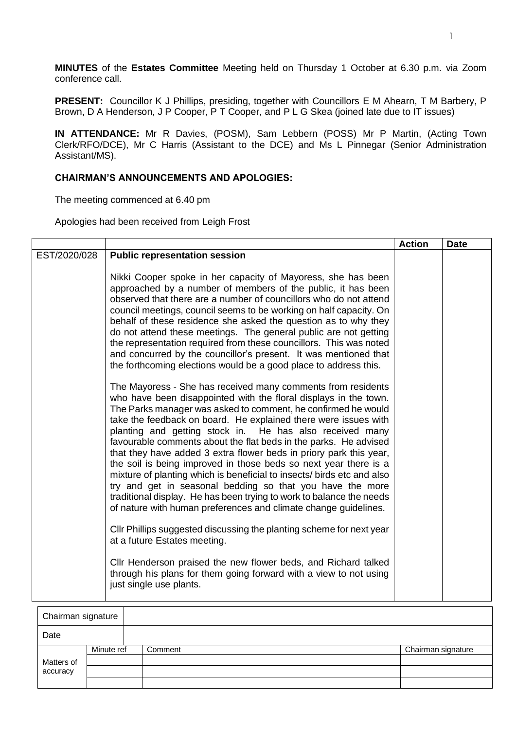**MINUTES** of the **Estates Committee** Meeting held on Thursday 1 October at 6.30 p.m. via Zoom conference call.

**PRESENT:** Councillor K J Phillips, presiding, together with Councillors E M Ahearn, T M Barbery, P Brown, D A Henderson, J P Cooper, P T Cooper, and P L G Skea (joined late due to IT issues)

**IN ATTENDANCE:** Mr R Davies, (POSM), Sam Lebbern (POSS) Mr P Martin, (Acting Town Clerk/RFO/DCE), Mr C Harris (Assistant to the DCE) and Ms L Pinnegar (Senior Administration Assistant/MS).

## **CHAIRMAN'S ANNOUNCEMENTS AND APOLOGIES:**

The meeting commenced at 6.40 pm

Apologies had been received from Leigh Frost

|              |                                                                                                                                                                                                                                                                                                                                                                                                                                                                                                                                                                                                                                                                                                                                                                                                                                  | <b>Action</b> | <b>Date</b> |
|--------------|----------------------------------------------------------------------------------------------------------------------------------------------------------------------------------------------------------------------------------------------------------------------------------------------------------------------------------------------------------------------------------------------------------------------------------------------------------------------------------------------------------------------------------------------------------------------------------------------------------------------------------------------------------------------------------------------------------------------------------------------------------------------------------------------------------------------------------|---------------|-------------|
| EST/2020/028 | <b>Public representation session</b><br>Nikki Cooper spoke in her capacity of Mayoress, she has been<br>approached by a number of members of the public, it has been<br>observed that there are a number of councillors who do not attend                                                                                                                                                                                                                                                                                                                                                                                                                                                                                                                                                                                        |               |             |
|              | council meetings, council seems to be working on half capacity. On<br>behalf of these residence she asked the question as to why they<br>do not attend these meetings. The general public are not getting<br>the representation required from these councillors. This was noted<br>and concurred by the councillor's present. It was mentioned that<br>the forthcoming elections would be a good place to address this.                                                                                                                                                                                                                                                                                                                                                                                                          |               |             |
|              | The Mayoress - She has received many comments from residents<br>who have been disappointed with the floral displays in the town.<br>The Parks manager was asked to comment, he confirmed he would<br>take the feedback on board. He explained there were issues with<br>planting and getting stock in. He has also received many<br>favourable comments about the flat beds in the parks. He advised<br>that they have added 3 extra flower beds in priory park this year,<br>the soil is being improved in those beds so next year there is a<br>mixture of planting which is beneficial to insects/ birds etc and also<br>try and get in seasonal bedding so that you have the more<br>traditional display. He has been trying to work to balance the needs<br>of nature with human preferences and climate change guidelines. |               |             |
|              | CIIr Phillips suggested discussing the planting scheme for next year<br>at a future Estates meeting.                                                                                                                                                                                                                                                                                                                                                                                                                                                                                                                                                                                                                                                                                                                             |               |             |
|              | Cllr Henderson praised the new flower beds, and Richard talked<br>through his plans for them going forward with a view to not using<br>just single use plants.                                                                                                                                                                                                                                                                                                                                                                                                                                                                                                                                                                                                                                                                   |               |             |

| Chairman signature |            |         |                    |
|--------------------|------------|---------|--------------------|
| Date               |            |         |                    |
|                    | Minute ref | Comment | Chairman signature |
| Matters of         |            |         |                    |
| accuracy           |            |         |                    |
|                    |            |         |                    |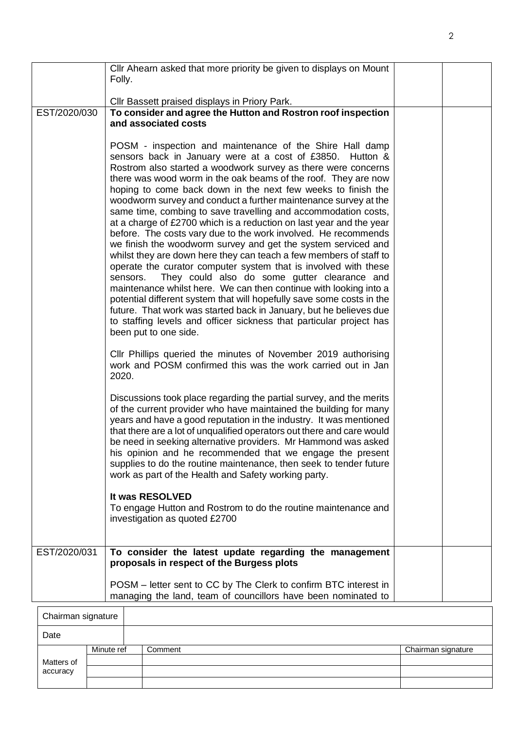|              | Cllr Ahearn asked that more priority be given to displays on Mount<br>Folly.                                                                                                                                                                                                                                                                                                                                                                                                                                                                                                                                                                                                                                                                                                                                                                                                                                                                                                                                                                                                                                                                                                                     |  |
|--------------|--------------------------------------------------------------------------------------------------------------------------------------------------------------------------------------------------------------------------------------------------------------------------------------------------------------------------------------------------------------------------------------------------------------------------------------------------------------------------------------------------------------------------------------------------------------------------------------------------------------------------------------------------------------------------------------------------------------------------------------------------------------------------------------------------------------------------------------------------------------------------------------------------------------------------------------------------------------------------------------------------------------------------------------------------------------------------------------------------------------------------------------------------------------------------------------------------|--|
|              | Cllr Bassett praised displays in Priory Park.                                                                                                                                                                                                                                                                                                                                                                                                                                                                                                                                                                                                                                                                                                                                                                                                                                                                                                                                                                                                                                                                                                                                                    |  |
| EST/2020/030 | To consider and agree the Hutton and Rostron roof inspection<br>and associated costs                                                                                                                                                                                                                                                                                                                                                                                                                                                                                                                                                                                                                                                                                                                                                                                                                                                                                                                                                                                                                                                                                                             |  |
|              | POSM - inspection and maintenance of the Shire Hall damp<br>sensors back in January were at a cost of £3850. Hutton &<br>Rostrom also started a woodwork survey as there were concerns<br>there was wood worm in the oak beams of the roof. They are now<br>hoping to come back down in the next few weeks to finish the<br>woodworm survey and conduct a further maintenance survey at the<br>same time, combing to save travelling and accommodation costs,<br>at a charge of £2700 which is a reduction on last year and the year<br>before. The costs vary due to the work involved. He recommends<br>we finish the woodworm survey and get the system serviced and<br>whilst they are down here they can teach a few members of staff to<br>operate the curator computer system that is involved with these<br>They could also do some gutter clearance and<br>sensors.<br>maintenance whilst here. We can then continue with looking into a<br>potential different system that will hopefully save some costs in the<br>future. That work was started back in January, but he believes due<br>to staffing levels and officer sickness that particular project has<br>been put to one side. |  |
|              | CIIr Phillips queried the minutes of November 2019 authorising<br>work and POSM confirmed this was the work carried out in Jan<br>2020.                                                                                                                                                                                                                                                                                                                                                                                                                                                                                                                                                                                                                                                                                                                                                                                                                                                                                                                                                                                                                                                          |  |
|              | Discussions took place regarding the partial survey, and the merits<br>of the current provider who have maintained the building for many<br>years and have a good reputation in the industry. It was mentioned<br>that there are a lot of unqualified operators out there and care would<br>be need in seeking alternative providers. Mr Hammond was asked<br>his opinion and he recommended that we engage the present<br>supplies to do the routine maintenance, then seek to tender future<br>work as part of the Health and Safety working party.                                                                                                                                                                                                                                                                                                                                                                                                                                                                                                                                                                                                                                            |  |
|              | It was RESOLVED<br>To engage Hutton and Rostrom to do the routine maintenance and<br>investigation as quoted £2700                                                                                                                                                                                                                                                                                                                                                                                                                                                                                                                                                                                                                                                                                                                                                                                                                                                                                                                                                                                                                                                                               |  |
| EST/2020/031 | To consider the latest update regarding the management<br>proposals in respect of the Burgess plots                                                                                                                                                                                                                                                                                                                                                                                                                                                                                                                                                                                                                                                                                                                                                                                                                                                                                                                                                                                                                                                                                              |  |
|              | POSM – letter sent to CC by The Clerk to confirm BTC interest in<br>managing the land, team of councillors have been nominated to                                                                                                                                                                                                                                                                                                                                                                                                                                                                                                                                                                                                                                                                                                                                                                                                                                                                                                                                                                                                                                                                |  |

| Chairman signature |            |         |                    |
|--------------------|------------|---------|--------------------|
| Date               |            |         |                    |
|                    | Minute ref | Comment | Chairman signature |
| Matters of         |            |         |                    |
| accuracy           |            |         |                    |
|                    |            |         |                    |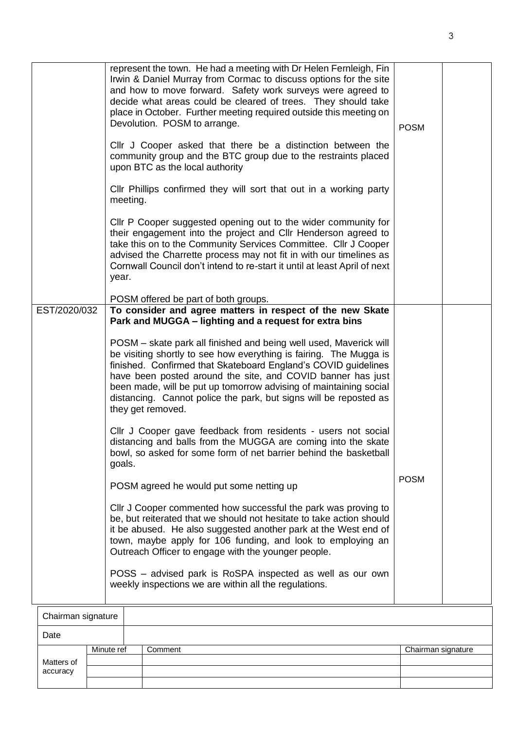Matters of accuracy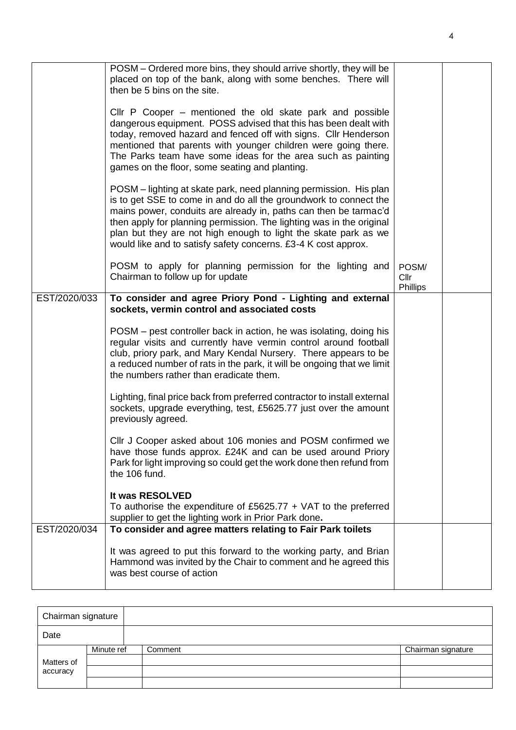|              | POSM – Ordered more bins, they should arrive shortly, they will be<br>placed on top of the bank, along with some benches. There will<br>then be 5 bins on the site.                                                                                                                                                                                                                                                     |                           |  |
|--------------|-------------------------------------------------------------------------------------------------------------------------------------------------------------------------------------------------------------------------------------------------------------------------------------------------------------------------------------------------------------------------------------------------------------------------|---------------------------|--|
|              | CIIr P Cooper – mentioned the old skate park and possible<br>dangerous equipment. POSS advised that this has been dealt with<br>today, removed hazard and fenced off with signs. Cllr Henderson<br>mentioned that parents with younger children were going there.<br>The Parks team have some ideas for the area such as painting<br>games on the floor, some seating and planting.                                     |                           |  |
|              | POSM – lighting at skate park, need planning permission. His plan<br>is to get SSE to come in and do all the groundwork to connect the<br>mains power, conduits are already in, paths can then be tarmac'd<br>then apply for planning permission. The lighting was in the original<br>plan but they are not high enough to light the skate park as we<br>would like and to satisfy safety concerns. £3-4 K cost approx. |                           |  |
|              | POSM to apply for planning permission for the lighting and<br>Chairman to follow up for update                                                                                                                                                                                                                                                                                                                          | POSM/<br>Cllr<br>Phillips |  |
| EST/2020/033 | To consider and agree Priory Pond - Lighting and external<br>sockets, vermin control and associated costs                                                                                                                                                                                                                                                                                                               |                           |  |
|              | POSM – pest controller back in action, he was isolating, doing his<br>regular visits and currently have vermin control around football<br>club, priory park, and Mary Kendal Nursery. There appears to be<br>a reduced number of rats in the park, it will be ongoing that we limit<br>the numbers rather than eradicate them.                                                                                          |                           |  |
|              | Lighting, final price back from preferred contractor to install external<br>sockets, upgrade everything, test, £5625.77 just over the amount<br>previously agreed.                                                                                                                                                                                                                                                      |                           |  |
|              | CIIr J Cooper asked about 106 monies and POSM confirmed we<br>have those funds approx. £24K and can be used around Priory<br>Park for light improving so could get the work done then refund from<br>the 106 fund.                                                                                                                                                                                                      |                           |  |
|              | It was RESOLVED<br>To authorise the expenditure of £5625.77 $+$ VAT to the preferred<br>supplier to get the lighting work in Prior Park done.                                                                                                                                                                                                                                                                           |                           |  |
| EST/2020/034 | To consider and agree matters relating to Fair Park toilets<br>It was agreed to put this forward to the working party, and Brian<br>Hammond was invited by the Chair to comment and he agreed this<br>was best course of action                                                                                                                                                                                         |                           |  |

| Chairman signature |            |         |                    |  |
|--------------------|------------|---------|--------------------|--|
| Date               |            |         |                    |  |
|                    | Minute ref | Comment | Chairman signature |  |
| Matters of         |            |         |                    |  |
| accuracy           |            |         |                    |  |
|                    |            |         |                    |  |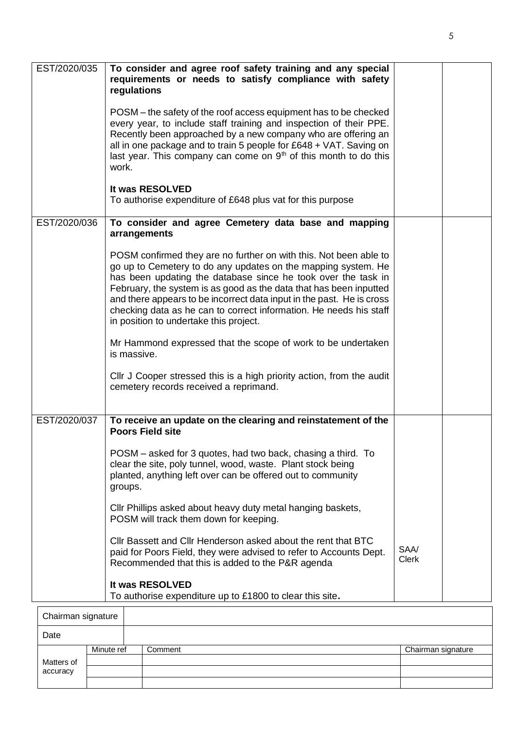| EST/2020/035 | To consider and agree roof safety training and any special<br>requirements or needs to satisfy compliance with safety<br>regulations                                                                                                                                                                                                                                                                                                                               |                      |  |
|--------------|--------------------------------------------------------------------------------------------------------------------------------------------------------------------------------------------------------------------------------------------------------------------------------------------------------------------------------------------------------------------------------------------------------------------------------------------------------------------|----------------------|--|
|              | POSM – the safety of the roof access equipment has to be checked<br>every year, to include staff training and inspection of their PPE.<br>Recently been approached by a new company who are offering an<br>all in one package and to train 5 people for £648 + VAT. Saving on<br>last year. This company can come on $9th$ of this month to do this<br>work.                                                                                                       |                      |  |
|              | It was RESOLVED<br>To authorise expenditure of £648 plus vat for this purpose                                                                                                                                                                                                                                                                                                                                                                                      |                      |  |
| EST/2020/036 | To consider and agree Cemetery data base and mapping<br>arrangements                                                                                                                                                                                                                                                                                                                                                                                               |                      |  |
|              | POSM confirmed they are no further on with this. Not been able to<br>go up to Cemetery to do any updates on the mapping system. He<br>has been updating the database since he took over the task in<br>February, the system is as good as the data that has been inputted<br>and there appears to be incorrect data input in the past. He is cross<br>checking data as he can to correct information. He needs his staff<br>in position to undertake this project. |                      |  |
|              | Mr Hammond expressed that the scope of work to be undertaken<br>is massive.                                                                                                                                                                                                                                                                                                                                                                                        |                      |  |
|              | CIIr J Cooper stressed this is a high priority action, from the audit<br>cemetery records received a reprimand.                                                                                                                                                                                                                                                                                                                                                    |                      |  |
| EST/2020/037 | To receive an update on the clearing and reinstatement of the<br><b>Poors Field site</b>                                                                                                                                                                                                                                                                                                                                                                           |                      |  |
|              | POSM - asked for 3 quotes, had two back, chasing a third. To<br>clear the site, poly tunnel, wood, waste. Plant stock being<br>planted, anything left over can be offered out to community<br>groups.                                                                                                                                                                                                                                                              |                      |  |
|              | CIIr Phillips asked about heavy duty metal hanging baskets,<br>POSM will track them down for keeping.                                                                                                                                                                                                                                                                                                                                                              |                      |  |
|              | Cllr Bassett and Cllr Henderson asked about the rent that BTC<br>paid for Poors Field, they were advised to refer to Accounts Dept.<br>Recommended that this is added to the P&R agenda                                                                                                                                                                                                                                                                            | SAA/<br><b>Clerk</b> |  |
|              | It was RESOLVED<br>To authorise expenditure up to £1800 to clear this site.                                                                                                                                                                                                                                                                                                                                                                                        |                      |  |
|              |                                                                                                                                                                                                                                                                                                                                                                                                                                                                    |                      |  |

| Chairman signature |            |         |                    |
|--------------------|------------|---------|--------------------|
| Date               |            |         |                    |
|                    | Minute ref | Comment | Chairman signature |
| Matters of         |            |         |                    |
| accuracy           |            |         |                    |
|                    |            |         |                    |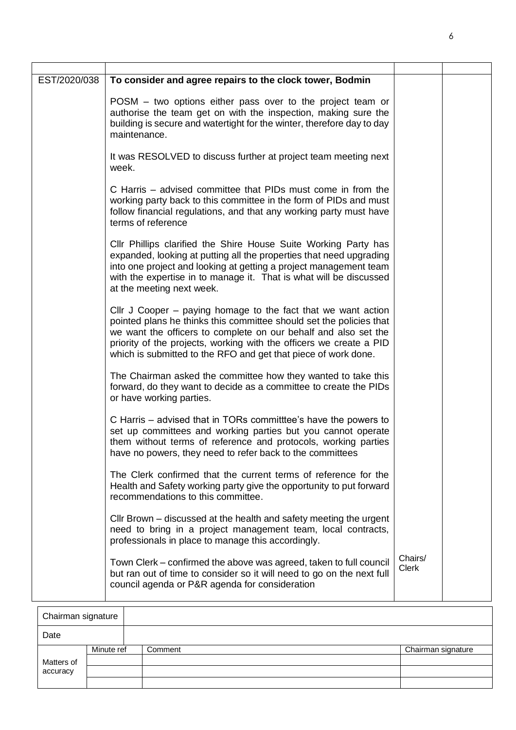| EST/2020/038 | To consider and agree repairs to the clock tower, Bodmin                                                                                                                                                                                                                                                                                           |                         |  |
|--------------|----------------------------------------------------------------------------------------------------------------------------------------------------------------------------------------------------------------------------------------------------------------------------------------------------------------------------------------------------|-------------------------|--|
|              | POSM – two options either pass over to the project team or<br>authorise the team get on with the inspection, making sure the<br>building is secure and watertight for the winter, therefore day to day<br>maintenance.                                                                                                                             |                         |  |
|              | It was RESOLVED to discuss further at project team meeting next<br>week.                                                                                                                                                                                                                                                                           |                         |  |
|              | C Harris – advised committee that PIDs must come in from the<br>working party back to this committee in the form of PIDs and must<br>follow financial regulations, and that any working party must have<br>terms of reference                                                                                                                      |                         |  |
|              | CIIr Phillips clarified the Shire House Suite Working Party has<br>expanded, looking at putting all the properties that need upgrading<br>into one project and looking at getting a project management team<br>with the expertise in to manage it. That is what will be discussed<br>at the meeting next week.                                     |                         |  |
|              | Cllr J Cooper $-$ paying homage to the fact that we want action<br>pointed plans he thinks this committee should set the policies that<br>we want the officers to complete on our behalf and also set the<br>priority of the projects, working with the officers we create a PID<br>which is submitted to the RFO and get that piece of work done. |                         |  |
|              | The Chairman asked the committee how they wanted to take this<br>forward, do they want to decide as a committee to create the PIDs<br>or have working parties.                                                                                                                                                                                     |                         |  |
|              | C Harris – advised that in TORs committee's have the powers to<br>set up committees and working parties but you cannot operate<br>them without terms of reference and protocols, working parties<br>have no powers, they need to refer back to the committees                                                                                      |                         |  |
|              | The Clerk confirmed that the current terms of reference for the<br>Health and Safety working party give the opportunity to put forward<br>recommendations to this committee.                                                                                                                                                                       |                         |  |
|              | Cllr Brown – discussed at the health and safety meeting the urgent<br>need to bring in a project management team, local contracts,<br>professionals in place to manage this accordingly.                                                                                                                                                           |                         |  |
|              | Town Clerk – confirmed the above was agreed, taken to full council<br>but ran out of time to consider so it will need to go on the next full<br>council agenda or P&R agenda for consideration                                                                                                                                                     | Chairs/<br><b>Clerk</b> |  |

| Chairman signature |            |         |                    |  |
|--------------------|------------|---------|--------------------|--|
| Date               |            |         |                    |  |
|                    | Minute ref | Comment | Chairman signature |  |
| Matters of         |            |         |                    |  |
| accuracy           |            |         |                    |  |
|                    |            |         |                    |  |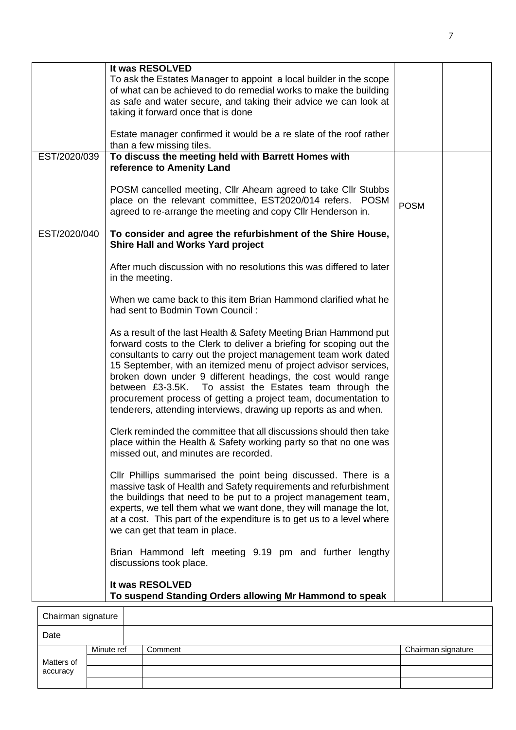|              | It was RESOLVED                                                                                                                                                                                                                                                                                                                                                                                                                                                                                                                                    |             |  |
|--------------|----------------------------------------------------------------------------------------------------------------------------------------------------------------------------------------------------------------------------------------------------------------------------------------------------------------------------------------------------------------------------------------------------------------------------------------------------------------------------------------------------------------------------------------------------|-------------|--|
|              | To ask the Estates Manager to appoint a local builder in the scope                                                                                                                                                                                                                                                                                                                                                                                                                                                                                 |             |  |
|              | of what can be achieved to do remedial works to make the building                                                                                                                                                                                                                                                                                                                                                                                                                                                                                  |             |  |
|              | as safe and water secure, and taking their advice we can look at                                                                                                                                                                                                                                                                                                                                                                                                                                                                                   |             |  |
|              | taking it forward once that is done                                                                                                                                                                                                                                                                                                                                                                                                                                                                                                                |             |  |
|              | Estate manager confirmed it would be a re slate of the roof rather<br>than a few missing tiles.                                                                                                                                                                                                                                                                                                                                                                                                                                                    |             |  |
| EST/2020/039 | To discuss the meeting held with Barrett Homes with<br>reference to Amenity Land                                                                                                                                                                                                                                                                                                                                                                                                                                                                   |             |  |
|              | POSM cancelled meeting, Cllr Ahearn agreed to take Cllr Stubbs<br>place on the relevant committee, EST2020/014 refers. POSM<br>agreed to re-arrange the meeting and copy Cllr Henderson in.                                                                                                                                                                                                                                                                                                                                                        | <b>POSM</b> |  |
| EST/2020/040 | To consider and agree the refurbishment of the Shire House,<br><b>Shire Hall and Works Yard project</b>                                                                                                                                                                                                                                                                                                                                                                                                                                            |             |  |
|              | After much discussion with no resolutions this was differed to later<br>in the meeting.                                                                                                                                                                                                                                                                                                                                                                                                                                                            |             |  |
|              | When we came back to this item Brian Hammond clarified what he<br>had sent to Bodmin Town Council:                                                                                                                                                                                                                                                                                                                                                                                                                                                 |             |  |
|              | As a result of the last Health & Safety Meeting Brian Hammond put<br>forward costs to the Clerk to deliver a briefing for scoping out the<br>consultants to carry out the project management team work dated<br>15 September, with an itemized menu of project advisor services,<br>broken down under 9 different headings, the cost would range<br>between £3-3.5K. To assist the Estates team through the<br>procurement process of getting a project team, documentation to<br>tenderers, attending interviews, drawing up reports as and when. |             |  |
|              | Clerk reminded the committee that all discussions should then take<br>place within the Health & Safety working party so that no one was<br>missed out, and minutes are recorded.                                                                                                                                                                                                                                                                                                                                                                   |             |  |
|              | CIIr Phillips summarised the point being discussed. There is a<br>massive task of Health and Safety requirements and refurbishment<br>the buildings that need to be put to a project management team,<br>experts, we tell them what we want done, they will manage the lot,<br>at a cost. This part of the expenditure is to get us to a level where<br>we can get that team in place.                                                                                                                                                             |             |  |
|              | Brian Hammond left meeting 9.19 pm and further lengthy<br>discussions took place.                                                                                                                                                                                                                                                                                                                                                                                                                                                                  |             |  |
|              | It was RESOLVED<br>To suspend Standing Orders allowing Mr Hammond to speak                                                                                                                                                                                                                                                                                                                                                                                                                                                                         |             |  |

| Chairman signature |            |         |                    |
|--------------------|------------|---------|--------------------|
| Date               |            |         |                    |
|                    | Minute ref | Comment | Chairman signature |
| Matters of         |            |         |                    |
| accuracy           |            |         |                    |
|                    |            |         |                    |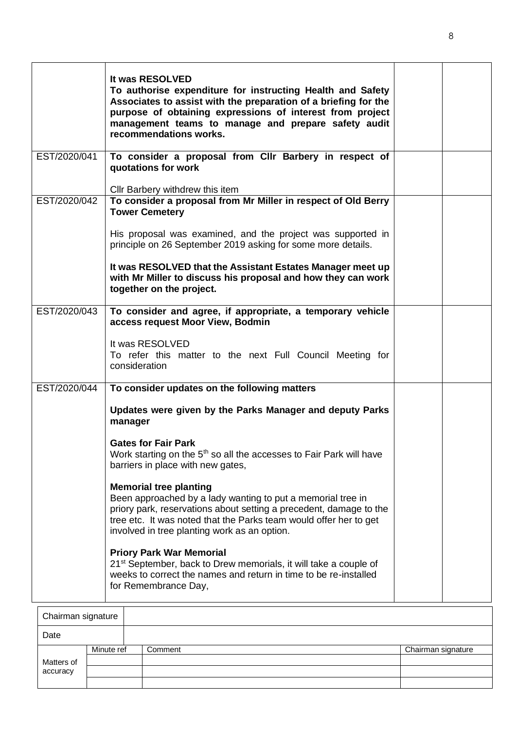|              | It was RESOLVED<br>To authorise expenditure for instructing Health and Safety<br>Associates to assist with the preparation of a briefing for the<br>purpose of obtaining expressions of interest from project<br>management teams to manage and prepare safety audit<br>recommendations works.                                                                                                                                                                                                                                                                                                                                                                                                                                                                                      |  |
|--------------|-------------------------------------------------------------------------------------------------------------------------------------------------------------------------------------------------------------------------------------------------------------------------------------------------------------------------------------------------------------------------------------------------------------------------------------------------------------------------------------------------------------------------------------------------------------------------------------------------------------------------------------------------------------------------------------------------------------------------------------------------------------------------------------|--|
| EST/2020/041 | To consider a proposal from Cllr Barbery in respect of<br>quotations for work                                                                                                                                                                                                                                                                                                                                                                                                                                                                                                                                                                                                                                                                                                       |  |
| EST/2020/042 | Cllr Barbery withdrew this item<br>To consider a proposal from Mr Miller in respect of Old Berry<br><b>Tower Cemetery</b><br>His proposal was examined, and the project was supported in<br>principle on 26 September 2019 asking for some more details.                                                                                                                                                                                                                                                                                                                                                                                                                                                                                                                            |  |
|              | It was RESOLVED that the Assistant Estates Manager meet up<br>with Mr Miller to discuss his proposal and how they can work<br>together on the project.                                                                                                                                                                                                                                                                                                                                                                                                                                                                                                                                                                                                                              |  |
| EST/2020/043 | To consider and agree, if appropriate, a temporary vehicle<br>access request Moor View, Bodmin<br>It was RESOLVED<br>To refer this matter to the next Full Council Meeting for<br>consideration                                                                                                                                                                                                                                                                                                                                                                                                                                                                                                                                                                                     |  |
| EST/2020/044 | To consider updates on the following matters<br>Updates were given by the Parks Manager and deputy Parks<br>manager<br><b>Gates for Fair Park</b><br>Work starting on the 5 <sup>th</sup> so all the accesses to Fair Park will have<br>barriers in place with new gates,<br><b>Memorial tree planting</b><br>Been approached by a lady wanting to put a memorial tree in<br>priory park, reservations about setting a precedent, damage to the<br>tree etc. It was noted that the Parks team would offer her to get<br>involved in tree planting work as an option.<br><b>Priory Park War Memorial</b><br>21 <sup>st</sup> September, back to Drew memorials, it will take a couple of<br>weeks to correct the names and return in time to be re-installed<br>for Remembrance Day, |  |

| Chairman signature |            |         |                    |
|--------------------|------------|---------|--------------------|
| Date               |            |         |                    |
| Matters of         | Minute ref | Comment | Chairman signature |
|                    |            |         |                    |
| accuracy           |            |         |                    |
|                    |            |         |                    |